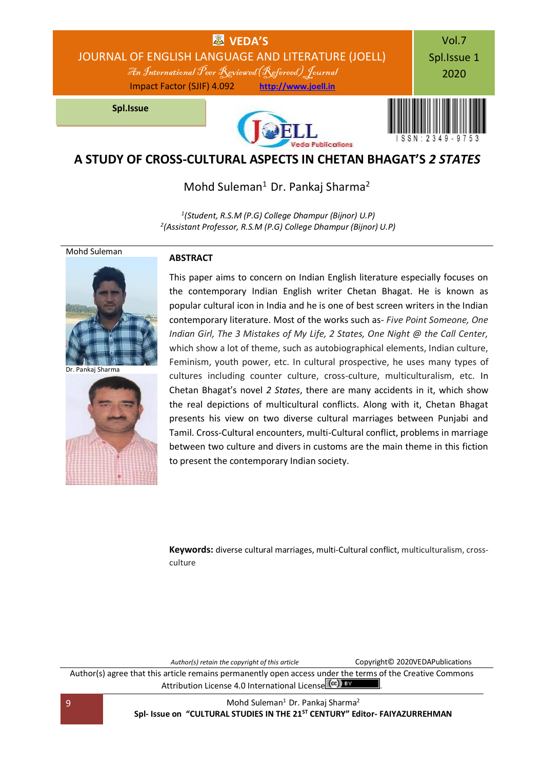

## **A STUDY OF CROSS-CULTURAL ASPECTS IN CHETAN BHAGAT'S** *2 STATES*

Mohd Suleman<sup>1</sup> Dr. Pankaj Sharma<sup>2</sup>

*1 (Student, R.S.M (P.G) College Dhampur (Bijnor) U.P) 2 (Assistant Professor, R.S.M (P.G) College Dhampur (Bijnor) U.P)*

### Mohd Suleman



Dr. Pankaj Sharma



### **ABSTRACT**

This paper aims to concern on Indian English literature especially focuses on the contemporary Indian English writer Chetan Bhagat. He is known as popular cultural icon in India and he is one of best screen writers in the Indian contemporary literature. Most of the works such as- *Five Point Someone, One Indian Girl, The 3 Mistakes of My Life, 2 States, One Night @ the Call Center,*  which show a lot of theme, such as autobiographical elements, Indian culture, Feminism, youth power, etc. In cultural prospective, he uses many types of cultures including counter culture, cross-culture, multiculturalism, etc. In Chetan Bhagat's novel *2 States*, there are many accidents in it, which show the real depictions of multicultural conflicts. Along with it, Chetan Bhagat presents his view on two diverse cultural marriages between Punjabi and Tamil. Cross-Cultural encounters, multi-Cultural conflict, problems in marriage between two culture and divers in customs are the main theme in this fiction to present the contemporary Indian society.

**Keywords:** diverse cultural marriages, multi-Cultural conflict, multiculturalism, crossculture

*Author(s) retain the copyright of this article* Copyright© 2020VEDAPublications Author(s) agree that this article remains permanently open access under the terms of the Creative Commons Attribution Lic[e](http://creativecommons.org/licenses/by/4.0/)nse 4.0 International License (cc) EY

9 Mohd Suleman<sup>1</sup> Dr. Pankaj Sharma<sup>2</sup> **Spl- Issue on "CULTURAL STUDIES IN THE 21ST CENTURY" Editor- FAIYAZURREHMAN**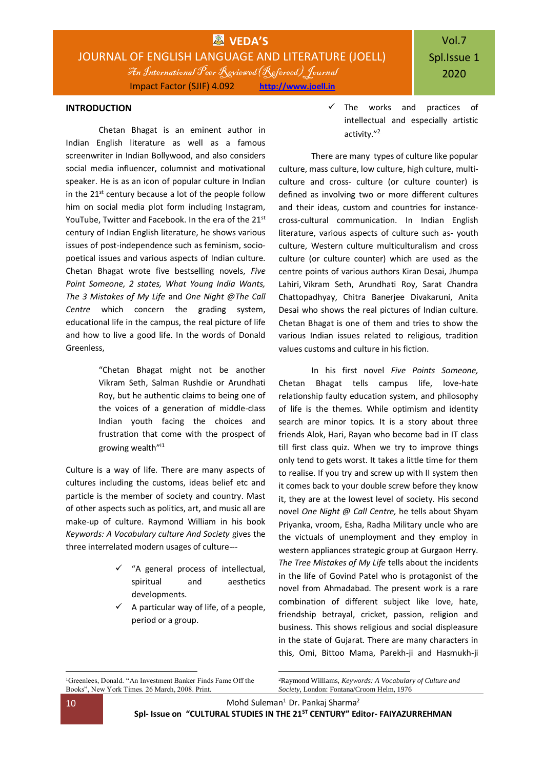#### **INTRODUCTION**

Chetan Bhagat is an eminent author in Indian English literature as well as a famous screenwriter in Indian Bollywood, and also considers social media influencer, columnist and motivational speaker. He is as an icon of popular culture in Indian in the 21<sup>st</sup> century because a lot of the people follow him on social media plot form including Instagram, YouTube, Twitter and Facebook. In the era of the 21st century of Indian English literature, he shows various issues of post-independence such as feminism, sociopoetical issues and various aspects of Indian culture. Chetan Bhagat wrote five bestselling novels, *Five Point Someone, 2 states, What Young India Wants, The 3 Mistakes of My Life* and *One Night @The Call Centre* which concern the grading system, educational life in the campus, the real picture of life and how to live a good life. In the words of Donald Greenless,

> "Chetan Bhagat might not be another Vikram Seth, Salman Rushdie or Arundhati Roy, but he authentic claims to being one of the voices of a generation of middle-class Indian youth facing the choices and frustration that come with the prospect of growing wealth"<sup>i1</sup>

Culture is a way of life. There are many aspects of cultures including the customs, ideas belief etc and particle is the member of society and country. Mast of other aspects such as politics, art, and music all are make-up of culture. Raymond William in his book *Keywords: A Vocabulary culture And Society* gives the three interrelated modern usages of culture---

- $\checkmark$  "A general process of intellectual. spiritual and aesthetics developments.
- $\checkmark$  A particular way of life, of a people, period or a group.

 $\checkmark$  The works and practices of intellectual and especially artistic activity."<sup>2</sup>

There are many types of culture like popular culture, mass culture, low culture, high culture, multiculture and cross- culture (or culture counter) is defined as involving two or more different cultures and their ideas, custom and countries for instancecross-cultural communication. In Indian English literature, various aspects of culture such as- youth culture, Western culture multiculturalism and cross culture (or culture counter) which are used as the centre points of various authors Kiran Desai, Jhumpa Lahiri, Vikram Seth, Arundhati Roy, Sarat Chandra Chattopadhyay, Chitra Banerjee Divakaruni, Anita Desai who shows the real pictures of Indian culture. Chetan Bhagat is one of them and tries to show the various Indian issues related to religious, tradition values customs and culture in his fiction.

In his first novel *Five Points Someone,*  Chetan Bhagat tells campus life, love-hate relationship faulty education system, and philosophy of life is the themes. While optimism and identity search are minor topics. It is a story about three friends Alok, Hari, Rayan who become bad in IT class till first class quiz. When we try to improve things only tend to gets worst. It takes a little time for them to realise. If you try and screw up with II system then it comes back to your double screw before they know it, they are at the lowest level of society. His second novel *One Night @ Call Centre,* he tells about Shyam Priyanka, vroom, Esha, Radha Military uncle who are the victuals of unemployment and they employ in western appliances strategic group at Gurgaon Herry. *The Tree Mistakes of My Life* tells about the incidents in the life of Govind Patel who is protagonist of the novel from Ahmadabad. The present work is a rare combination of different subject like love, hate, friendship betrayal, cricket, passion, religion and business. This shows religious and social displeasure in the state of Gujarat. There are many characters in this, Omi, Bittoo Mama, Parekh-ji and Hasmukh-ji

<sup>2</sup>Raymond Williams, *Keywords: A Vocabulary of Culture and Society*, London: Fontana/Croom Helm, 1976

1

1

<sup>&</sup>lt;sup>1</sup>Greenlees, Donald. "An Investment Banker Finds Fame Off the Books", New York Times. 26 March, 2008. Print.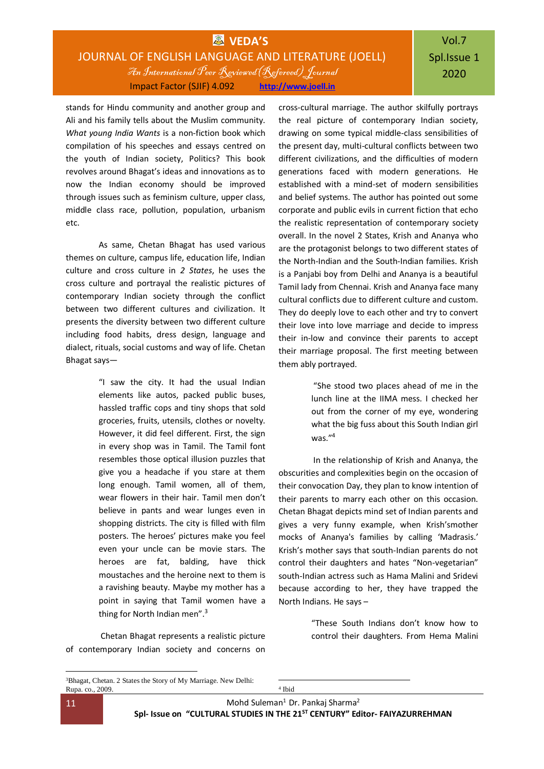### **WEDA'S** JOURNAL OF ENGLISH LANGUAGE AND LITERATURE (JOELL) An International Peer Reviewed(Refereed) Journal Impact Factor (SJIF) 4.092 **[http://www.joell.in](http://www.joell.in/)**

# Vol.7 Spl.Issue 1 2020

stands for Hindu community and another group and Ali and his family tells about the Muslim community. *What young India Wants* is a non-fiction book which compilation of his speeches and essays centred on the youth of Indian society, Politics? This book revolves around Bhagat's ideas and innovations as to now the Indian economy should be improved through issues such as feminism culture, upper class, middle class race, pollution, population, urbanism etc.

As same, Chetan Bhagat has used various themes on culture, campus life, education life, Indian culture and cross culture in *2 States*, he uses the cross culture and portrayal the realistic pictures of contemporary Indian society through the conflict between two different cultures and civilization. It presents the diversity between two different culture including food habits, dress design, language and dialect, rituals, social customs and way of life. Chetan Bhagat says—

> "I saw the city. It had the usual Indian elements like autos, packed public buses, hassled traffic cops and tiny shops that sold groceries, fruits, utensils, clothes or novelty. However, it did feel different. First, the sign in every shop was in Tamil. The Tamil font resembles those optical illusion puzzles that give you a headache if you stare at them long enough. Tamil women, all of them, wear flowers in their hair. Tamil men don't believe in pants and wear lunges even in shopping districts. The city is filled with film posters. The heroes' pictures make you feel even your uncle can be movie stars. The heroes are fat, balding, have thick moustaches and the heroine next to them is a ravishing beauty. Maybe my mother has a point in saying that Tamil women have a thing for North Indian men".<sup>3</sup>

Chetan Bhagat represents a realistic picture of contemporary Indian society and concerns on

<sup>3</sup>Bhagat, Chetan. 2 States the Story of My Marriage. New Delhi: Rupa. co., 2009.

cross-cultural marriage. The author skilfully portrays the real picture of contemporary Indian society, drawing on some typical middle-class sensibilities of the present day, multi-cultural conflicts between two different civilizations, and the difficulties of modern generations faced with modern generations. He established with a mind-set of modern sensibilities and belief systems. The author has pointed out some corporate and public evils in current fiction that echo the realistic representation of contemporary society overall. In the novel 2 States, Krish and Ananya who are the protagonist belongs to two different states of the North-Indian and the South-Indian families. Krish is a Panjabi boy from Delhi and Ananya is a beautiful Tamil lady from Chennai. Krish and Ananya face many cultural conflicts due to different culture and custom. They do deeply love to each other and try to convert their love into love marriage and decide to impress their in-low and convince their parents to accept their marriage proposal. The first meeting between them ably portrayed.

> "She stood two places ahead of me in the lunch line at the IIMA mess. I checked her out from the corner of my eye, wondering what the big fuss about this South Indian girl was."<sup>4</sup>

In the relationship of Krish and Ananya, the obscurities and complexities begin on the occasion of their convocation Day, they plan to know intention of their parents to marry each other on this occasion. Chetan Bhagat depicts mind set of Indian parents and gives a very funny example, when Krish'smother mocks of Ananya's families by calling 'Madrasis.' Krish's mother says that south-Indian parents do not control their daughters and hates "Non-vegetarian" south-Indian actress such as Hama Malini and Sridevi because according to her, they have trapped the North Indians. He says –

> "These South Indians don't know how to control their daughters. From Hema Malini

1 4 Ibid

1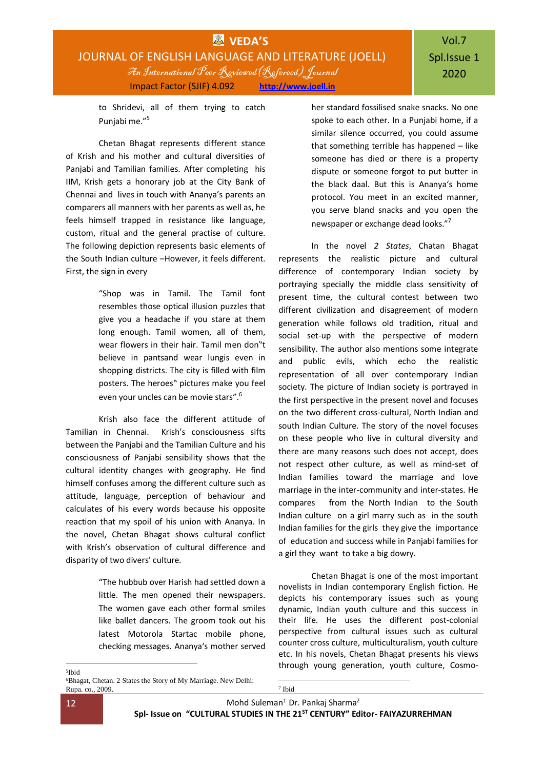to Shridevi, all of them trying to catch Punjabi me."<sup>5</sup>

Chetan Bhagat represents different stance of Krish and his mother and cultural diversities of Panjabi and Tamilian families. After completing his IIM, Krish gets a honorary job at the City Bank of Chennai and lives in touch with Ananya's parents an comparers all manners with her parents as well as, he feels himself trapped in resistance like language, custom, ritual and the general practise of culture. The following depiction represents basic elements of the South Indian culture –However, it feels different. First, the sign in every

> "Shop was in Tamil. The Tamil font resembles those optical illusion puzzles that give you a headache if you stare at them long enough. Tamil women, all of them, wear flowers in their hair. Tamil men don"t believe in pantsand wear lungis even in shopping districts. The city is filled with film posters. The heroes" pictures make you feel even your uncles can be movie stars".<sup>6</sup>

Krish also face the different attitude of Tamilian in Chennai. Krish's consciousness sifts between the Panjabi and the Tamilian Culture and his consciousness of Panjabi sensibility shows that the cultural identity changes with geography. He find himself confuses among the different culture such as attitude, language, perception of behaviour and calculates of his every words because his opposite reaction that my spoil of his union with Ananya. In the novel, Chetan Bhagat shows cultural conflict with Krish's observation of cultural difference and disparity of two divers' culture.

> "The hubbub over Harish had settled down a little. The men opened their newspapers. The women gave each other formal smiles like ballet dancers. The groom took out his latest Motorola Startac mobile phone, checking messages. Ananya's mother served

her standard fossilised snake snacks. No one spoke to each other. In a Punjabi home, if a similar silence occurred, you could assume that something terrible has happened – like someone has died or there is a property dispute or someone forgot to put butter in the black daal. But this is Ananya's home protocol. You meet in an excited manner, you serve bland snacks and you open the newspaper or exchange dead looks."<sup>7</sup>

In the novel *2 States*, Chatan Bhagat represents the realistic picture and cultural difference of contemporary Indian society by portraying specially the middle class sensitivity of present time, the cultural contest between two different civilization and disagreement of modern generation while follows old tradition, ritual and social set-up with the perspective of modern sensibility. The author also mentions some integrate and public evils, which echo the realistic representation of all over contemporary Indian society. The picture of Indian society is portrayed in the first perspective in the present novel and focuses on the two different cross-cultural, North Indian and south Indian Culture. The story of the novel focuses on these people who live in cultural diversity and there are many reasons such does not accept, does not respect other culture, as well as mind-set of Indian families toward the marriage and love marriage in the inter-community and inter-states. He compares from the North Indian to the South Indian culture on a girl marry such as in the south Indian families for the girls they give the importance of education and success while in Panjabi families for a girl they want to take a big dowry.

Chetan Bhagat is one of the most important novelists in Indian contemporary English fiction. He depicts his contemporary issues such as young dynamic, Indian youth culture and this success in their life. He uses the different post-colonial perspective from cultural issues such as cultural counter cross culture, multiculturalism, youth culture etc. In his novels, Chetan Bhagat presents his views through young generation, youth culture, Cosmo-

1 5 Ibid

1

<sup>6</sup>Bhagat, Chetan. 2 States the Story of My Marriage. New Delhi: Rupa. co., 2009.